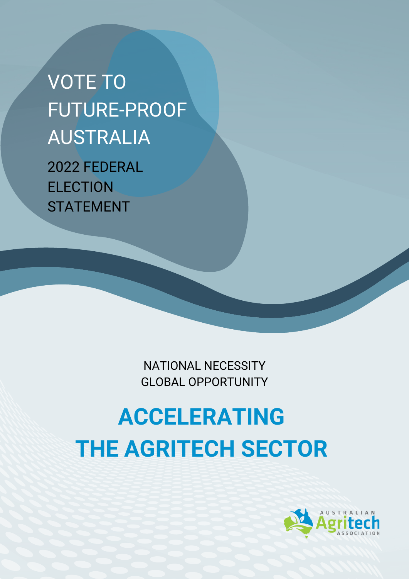VOTE TO FUTURE-PROOF AUSTRALIA 2022 FEDERAL **ELECTION** STATEMENT

> NATIONAL NECESSITY GLOBAL OPPORTUNITY

# **ACCELERATING THE AGRITECH SECTOR**

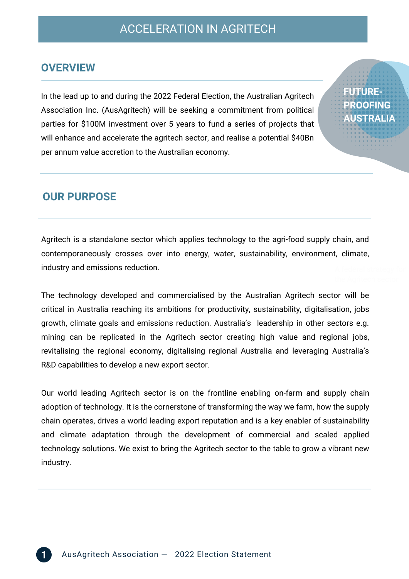**FUTURE-**

**PROOFING AUSTRALIA**

#### **OVERVIEW**

In the lead up to and during the 2022 Federal Election, the Australian Agritech Association Inc. (AusAgritech) will be seeking a commitment from political parties for \$100M investment over 5 years to fund a series of projects that will enhance and accelerate the agritech sector, and realise a potential \$40Bn per annum value accretion to the Australian economy.

## **OUR PURPOSE**

Agritech is a standalone sector which applies technology to the agri-food supply chain, and contemporaneously crosses over into energy, water, sustainability, environment, climate, industry and emissions reduction.

The technology developed and commercialised by the Australian Agritech sector will be critical in Australia reaching its ambitions for productivity, sustainability, digitalisation, jobs growth, climate goals and emissions reduction. Australia's leadership in other sectors e.g. mining can be replicated in the Agritech sector creating high value and regional jobs, revitalising the regional economy, digitalising regional Australia and leveraging Australia's R&D capabilities to develop a new export sector.

Our world leading Agritech sector is on the frontline enabling on-farm and supply chain adoption of technology. It is the cornerstone of transforming the way we farm, how the supply chain operates, drives a world leading export reputation and is a key enabler of sustainability and climate adaptation through the development of commercial and scaled applied technology solutions. We exist to bring the Agritech sector to the table to grow a vibrant new industry.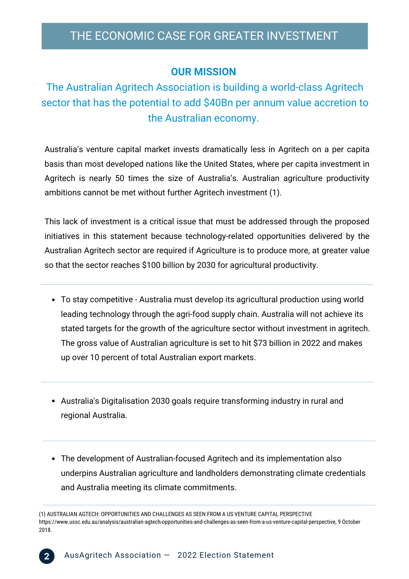## THE ECONOMIC CASE FOR GREATER INVESTMENT

#### **OUR MISSION**

# The Australian Agritech Association is building a world-class Agritech sector that has the potential to add \$40Bn per annum value accretion to the Australian economy.

Australia's venture capital market invests dramatically less in Agritech on a per capita basis than most developed nations like the United States, where per capita investment in Agritech is nearly 50 times the size of Australia's. Australian agriculture productivity ambitions cannot be met without further Agritech investment (1).

This lack of investment is a critical issue that must be addressed through the proposed initiatives in this statement because technology-related opportunities delivered by the Australian Agritech sector are required if Agriculture is to produce more, at greater value so that the sector reaches \$100 billion by 2030 for agricultural productivity.

- To stay competitive Australia must develop its agricultural production using world leading technology through the agri-food supply chain. Australia will not achieve its stated targets for the growth of the agriculture sector without investment in agritech. The gross value of Australian agriculture is set to hit \$73 billion in 2022 and makes up over 10 percent of total Australian export markets.
- Australia's Digitalisation 2030 goals require transforming industry in rural and regional Australia.
- The development of Australian-focused Agritech and its implementation also underpins Australian agriculture and landholders demonstrating climate credentials and Australia meeting its climate commitments.

<sup>(1)</sup> AUSTRALIAN AGTECH: OPPORTUNITIES AND CHALLENGES AS SEEN FROM A US VENTURE CAPITAL PERSPECTIVE https://www.ussc.edu.au/analysis/australian-agtech-opportunities-and-challenges-as-seen-from-a-us-venture-capital-perspective, 9 October 2018.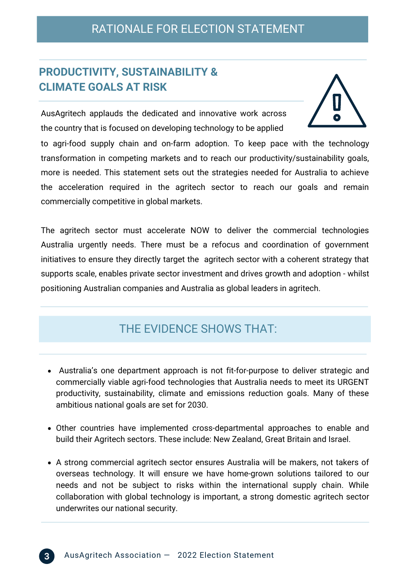## **PRODUCTIVITY, SUSTAINABILITY & CLIMATE GOALS AT RISK**

AusAgritech applauds the dedicated and innovative work across the country that is focused on developing technology to be applied

to agri-food supply chain and on-farm adoption. To keep pace with the technology transformation in competing markets and to reach our productivity/sustainability goals, more is needed. This statement sets out the strategies needed for Australia to achieve the acceleration required in the agritech sector to reach our goals and remain commercially competitive in global markets.

The agritech sector must accelerate NOW to deliver the commercial technologies Australia urgently needs. There must be a refocus and coordination of government initiatives to ensure they directly target the agritech sector with a coherent strategy that supports scale, enables private sector investment and drives growth and adoption - whilst positioning Australian companies and Australia as global leaders in agritech.

## THE EVIDENCE SHOWS THAT:

- Australia's one department approach is not fit-for-purpose to deliver strategic and commercially viable agri-food technologies that Australia needs to meet its URGENT productivity, sustainability, climate and emissions reduction goals. Many of these ambitious national goals are set for 2030.
- Other countries have implemented cross-departmental approaches to enable and build their Agritech sectors. These include: New Zealand, Great Britain and Israel.
- A strong commercial agritech sector ensures Australia will be makers, not takers of overseas technology. It will ensure we have home-grown solutions tailored to our needs and not be subject to risks within the international supply chain. While collaboration with global technology is important, a strong domestic agritech sector underwrites our national security.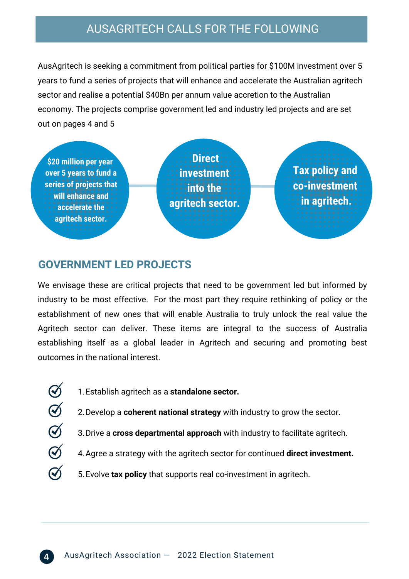## AUSAGRITECH CALLS FOR THE FOLLOWING

AusAgritech is seeking a commitment from political parties for \$100M investment over 5 years to fund a series of projects that will enhance and accelerate the Australian agritech sector and realise a potential \$40Bn per annum value accretion to the Australian economy. The projects comprise government led and industry led projects and are set out on pages 4 and 5



#### **GOVERNMENT LED PROJECTS**

 $\bigotimes$ 

 $Q$ 

 $\widetilde{\mathcal{A}}$ 

We envisage these are critical projects that need to be government led but informed by industry to be most effective. For the most part they require rethinking of policy or the establishment of new ones that will enable Australia to truly unlock the real value the Agritech sector can deliver. These items are integral to the success of Australia establishing itself as a global leader in Agritech and securing and promoting best outcomes in the national interest.

- $\bigcirc$ Establish agritech as a **standalone sector.** 1.
	- 2. Develop a **coherent national strategy** with industry to grow the sector.
	- 3. Drive a **cross departmental approach** with industry to facilitate agritech.
	- 4. Agree a strategy with the agritech sector for continued **direct investment.**
	- 5. Evolve tax policy that supports real co-investment in agritech.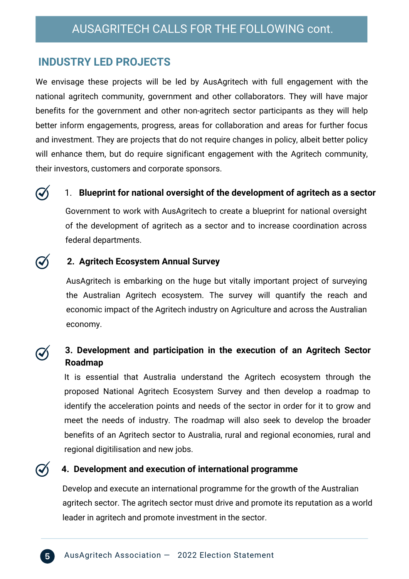## **INDUSTRY LED PROJECTS**

We envisage these projects will be led by AusAgritech with full engagement with the national agritech community, government and other collaborators. They will have major benefits for the government and other non-agritech sector participants as they will help better inform engagements, progress, areas for collaboration and areas for further focus and investment. They are projects that do not require changes in policy, albeit better policy will enhance them, but do require significant engagement with the Agritech community, their investors, customers and corporate sponsors.

#### 1. **Blueprint for national oversight of the development of agritech as a sector**

Government to work with AusAgritech to create a blueprint for national oversight of the development of agritech as a sector and to increase coordination across federal departments.

#### **2. Agritech Ecosystem Annual Survey**

AusAgritech is embarking on the huge but vitally important project of surveying the Australian Agritech ecosystem. The survey will quantify the reach and economic impact of the Agritech industry on Agriculture and across the Australian economy.

#### **3. Development and participation in the execution of an Agritech Sector Roadmap**

It is essential that Australia understand the Agritech ecosystem through the proposed National Agritech Ecosystem Survey and then develop a roadmap to identify the acceleration points and needs of the sector in order for it to grow and meet the needs of industry. The roadmap will also seek to develop the broader benefits of an Agritech sector to Australia, rural and regional economies, rural and regional digitilisation and new jobs.

#### **4. Development and execution of international programme**

Develop and execute an international programme for the growth of the Australian agritech sector. The agritech sector must drive and promote its reputation as a world leader in agritech and promote investment in the sector.

 $\mathcal{Q}_1$ 

 $\mathcal{G}$